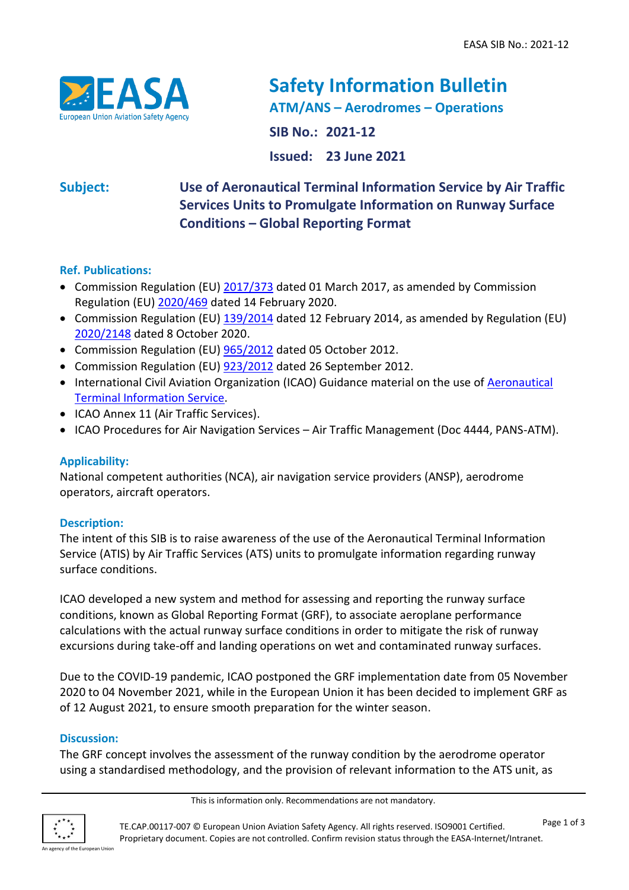

# **Safety Information Bulletin ATM/ANS – Aerodromes – Operations**

**SIB No.: 2021-12**

**Issued: 23 June 2021**

**Subject: Use of Aeronautical Terminal Information Service by Air Traffic Services Units to Promulgate Information on Runway Surface Conditions – Global Reporting Format**

# **Ref. Publications:**

- Commission Regulation (EU) [2017/373](https://eur-lex.europa.eu/legal-content/EN/ALL/?uri=CELEX%3A32017R0373) dated 01 March 2017, as amended by Commission Regulation (EU) [2020/469](https://eur-lex.europa.eu/legal-content/EN/TXT/?uri=CELEX%3A32020R0469) dated 14 February 2020.
- Commission Regulation (EU) [139/2014](https://eur-lex.europa.eu/legal-content/EN/TXT/?uri=CELEX:32014R0139) dated 12 February 2014, as amended by Regulation (EU) [2020/2148](https://eur-lex.europa.eu/legal-content/EN/TXT/?uri=CELEX%3A32020R2148) dated 8 October 2020.
- Commission Regulation (EU) [965/2012](https://eur-lex.europa.eu/legal-content/EN/TXT/?uri=CELEX%3A32012R0965&qid=1624441918330) dated 05 October 2012.
- Commission Regulation (EU) [923/2012](https://eur-lex.europa.eu/legal-content/EN/ALL/?uri=CELEX%3A32012R0923) dated 26 September 2012.
- International Civil Aviation Organization (ICAO) Guidance material on the use of **Aeronautical** [Terminal Information Service.](https://www.icao.int/safety/SiteAssets/Pages/GRF/ATIS%20Flyer_V1.0.pdf)
- ICAO Annex 11 (Air Traffic Services).
- ICAO Procedures for Air Navigation Services Air Traffic Management (Doc 4444, PANS-ATM).

# **Applicability:**

National competent authorities (NCA), air navigation service providers (ANSP), aerodrome operators, aircraft operators.

# **Description:**

The intent of this SIB is to raise awareness of the use of the Aeronautical Terminal Information Service (ATIS) by Air Traffic Services (ATS) units to promulgate information regarding runway surface conditions.

ICAO developed a new system and method for assessing and reporting the runway surface conditions, known as Global Reporting Format (GRF), to associate aeroplane performance calculations with the actual runway surface conditions in order to mitigate the risk of runway excursions during take-off and landing operations on wet and contaminated runway surfaces.

Due to the COVID-19 pandemic, ICAO postponed the GRF implementation date from 05 November 2020 to 04 November 2021, while in the European Union it has been decided to implement GRF as of 12 August 2021, to ensure smooth preparation for the winter season.

# **Discussion:**

The GRF concept involves the assessment of the runway condition by the aerodrome operator using a standardised methodology, and the provision of relevant information to the ATS unit, as



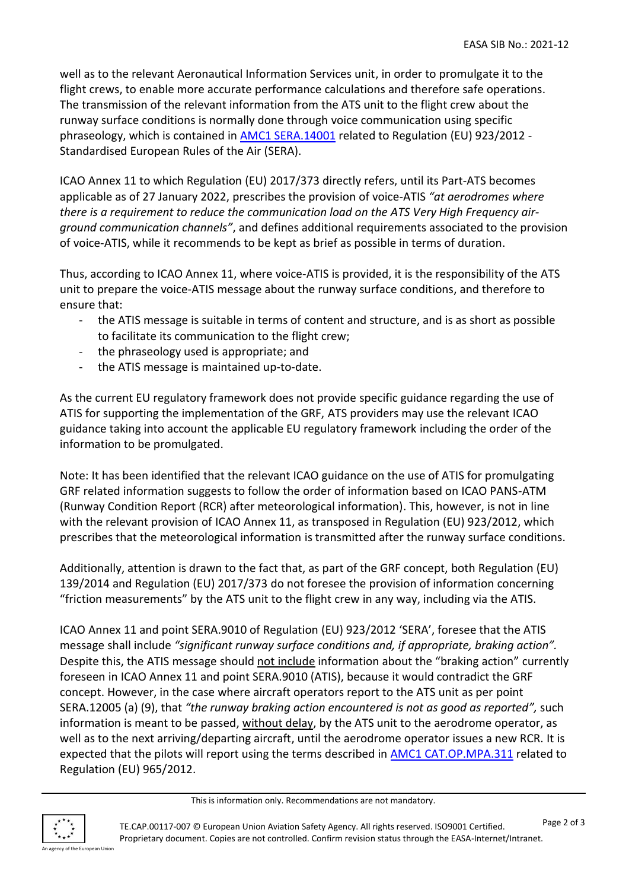well as to the relevant Aeronautical Information Services unit, in order to promulgate it to the flight crews, to enable more accurate performance calculations and therefore safe operations. The transmission of the relevant information from the ATS unit to the flight crew about the runway surface conditions is normally done through voice communication using specific phraseology, which is contained in **AMC1 SERA.14001** related to Regulation (EU) 923/2012 -Standardised European Rules of the Air (SERA).

ICAO Annex 11 to which Regulation (EU) 2017/373 directly refers, until its Part-ATS becomes applicable as of 27 January 2022, prescribes the provision of voice-ATIS *"at aerodromes where there is a requirement to reduce the communication load on the ATS Very High Frequency airground communication channels"*, and defines additional requirements associated to the provision of voice-ATIS, while it recommends to be kept as brief as possible in terms of duration.

Thus, according to ICAO Annex 11, where voice-ATIS is provided, it is the responsibility of the ATS unit to prepare the voice-ATIS message about the runway surface conditions, and therefore to ensure that:

- the ATIS message is suitable in terms of content and structure, and is as short as possible to facilitate its communication to the flight crew;
- the phraseology used is appropriate; and
- the ATIS message is maintained up-to-date.

As the current EU regulatory framework does not provide specific guidance regarding the use of ATIS for supporting the implementation of the GRF, ATS providers may use the relevant ICAO guidance taking into account the applicable EU regulatory framework including the order of the information to be promulgated.

Note: It has been identified that the relevant ICAO guidance on the use of ATIS for promulgating GRF related information suggests to follow the order of information based on ICAO PANS-ATM (Runway Condition Report (RCR) after meteorological information). This, however, is not in line with the relevant provision of ICAO Annex 11, as transposed in Regulation (EU) 923/2012, which prescribes that the meteorological information is transmitted after the runway surface conditions.

Additionally, attention is drawn to the fact that, as part of the GRF concept, both Regulation (EU) 139/2014 and Regulation (EU) 2017/373 do not foresee the provision of information concerning "friction measurements" by the ATS unit to the flight crew in any way, including via the ATIS.

ICAO Annex 11 and point SERA.9010 of Regulation (EU) 923/2012 'SERA', foresee that the ATIS message shall include *"significant runway surface conditions and, if appropriate, braking action".* Despite this, the ATIS message should not include information about the "braking action" currently foreseen in ICAO Annex 11 and point SERA.9010 (ATIS), because it would contradict the GRF concept. However, in the case where aircraft operators report to the ATS unit as per point SERA.12005 (a) (9), that *"the runway braking action encountered is not as good as reported",* such information is meant to be passed, without delay, by the ATS unit to the aerodrome operator, as well as to the next arriving/departing aircraft, until the aerodrome operator issues a new RCR. It is expected that the pilots will report using the terms described in **AMC1 CAT.OP.MPA.311** related to Regulation (EU) 965/2012.